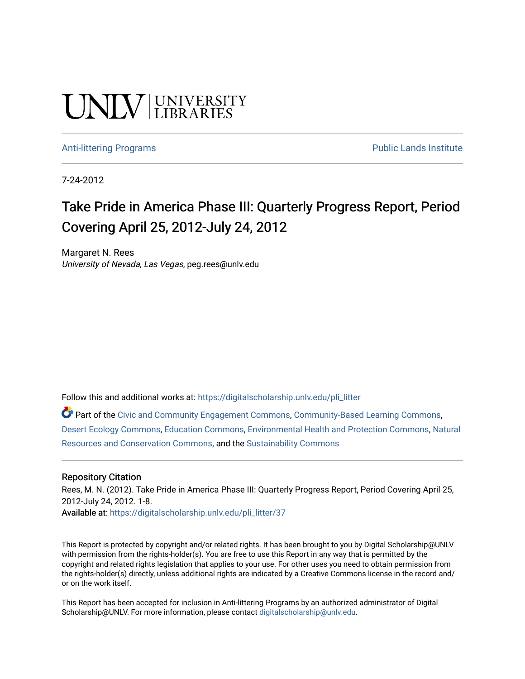# **UNIVERSITY**

#### [Anti-littering Programs](https://digitalscholarship.unlv.edu/pli_litter) **Public Lands Institute** Public Lands Institute

7-24-2012

## Take Pride in America Phase III: Quarterly Progress Report, Period Covering April 25, 2012-July 24, 2012

Margaret N. Rees University of Nevada, Las Vegas, peg.rees@unlv.edu

Follow this and additional works at: [https://digitalscholarship.unlv.edu/pli\\_litter](https://digitalscholarship.unlv.edu/pli_litter?utm_source=digitalscholarship.unlv.edu%2Fpli_litter%2F37&utm_medium=PDF&utm_campaign=PDFCoverPages) 

Part of the [Civic and Community Engagement Commons](http://network.bepress.com/hgg/discipline/1028?utm_source=digitalscholarship.unlv.edu%2Fpli_litter%2F37&utm_medium=PDF&utm_campaign=PDFCoverPages), [Community-Based Learning Commons](http://network.bepress.com/hgg/discipline/1046?utm_source=digitalscholarship.unlv.edu%2Fpli_litter%2F37&utm_medium=PDF&utm_campaign=PDFCoverPages), [Desert Ecology Commons](http://network.bepress.com/hgg/discipline/1261?utm_source=digitalscholarship.unlv.edu%2Fpli_litter%2F37&utm_medium=PDF&utm_campaign=PDFCoverPages), [Education Commons,](http://network.bepress.com/hgg/discipline/784?utm_source=digitalscholarship.unlv.edu%2Fpli_litter%2F37&utm_medium=PDF&utm_campaign=PDFCoverPages) [Environmental Health and Protection Commons](http://network.bepress.com/hgg/discipline/172?utm_source=digitalscholarship.unlv.edu%2Fpli_litter%2F37&utm_medium=PDF&utm_campaign=PDFCoverPages), [Natural](http://network.bepress.com/hgg/discipline/168?utm_source=digitalscholarship.unlv.edu%2Fpli_litter%2F37&utm_medium=PDF&utm_campaign=PDFCoverPages) [Resources and Conservation Commons,](http://network.bepress.com/hgg/discipline/168?utm_source=digitalscholarship.unlv.edu%2Fpli_litter%2F37&utm_medium=PDF&utm_campaign=PDFCoverPages) and the [Sustainability Commons](http://network.bepress.com/hgg/discipline/1031?utm_source=digitalscholarship.unlv.edu%2Fpli_litter%2F37&utm_medium=PDF&utm_campaign=PDFCoverPages) 

#### Repository Citation

Rees, M. N. (2012). Take Pride in America Phase III: Quarterly Progress Report, Period Covering April 25, 2012-July 24, 2012. 1-8. Available at: [https://digitalscholarship.unlv.edu/pli\\_litter/37](https://digitalscholarship.unlv.edu/pli_litter/37)

This Report is protected by copyright and/or related rights. It has been brought to you by Digital Scholarship@UNLV with permission from the rights-holder(s). You are free to use this Report in any way that is permitted by the copyright and related rights legislation that applies to your use. For other uses you need to obtain permission from the rights-holder(s) directly, unless additional rights are indicated by a Creative Commons license in the record and/ or on the work itself.

This Report has been accepted for inclusion in Anti-littering Programs by an authorized administrator of Digital Scholarship@UNLV. For more information, please contact [digitalscholarship@unlv.edu.](mailto:digitalscholarship@unlv.edu)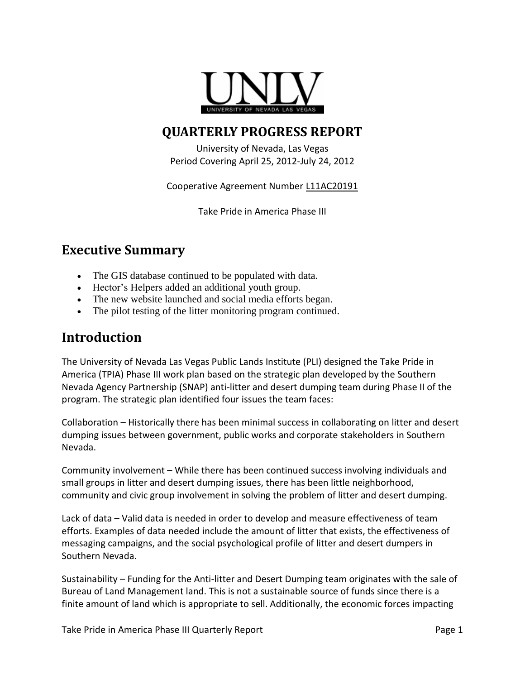

## **QUARTERLY PROGRESS REPORT**

University of Nevada, Las Vegas Period Covering April 25, 2012-July 24, 2012

Cooperative Agreement Number L11AC20191

Take Pride in America Phase III

## **Executive Summary**

- The GIS database continued to be populated with data.
- Hector's Helpers added an additional youth group.
- The new website launched and social media efforts began.
- The pilot testing of the litter monitoring program continued.

### **Introduction**

The University of Nevada Las Vegas Public Lands Institute (PLI) designed the Take Pride in America (TPIA) Phase III work plan based on the strategic plan developed by the Southern Nevada Agency Partnership (SNAP) anti-litter and desert dumping team during Phase II of the program. The strategic plan identified four issues the team faces:

Collaboration – Historically there has been minimal success in collaborating on litter and desert dumping issues between government, public works and corporate stakeholders in Southern Nevada.

Community involvement – While there has been continued success involving individuals and small groups in litter and desert dumping issues, there has been little neighborhood, community and civic group involvement in solving the problem of litter and desert dumping.

Lack of data – Valid data is needed in order to develop and measure effectiveness of team efforts. Examples of data needed include the amount of litter that exists, the effectiveness of messaging campaigns, and the social psychological profile of litter and desert dumpers in Southern Nevada.

Sustainability – Funding for the Anti-litter and Desert Dumping team originates with the sale of Bureau of Land Management land. This is not a sustainable source of funds since there is a finite amount of land which is appropriate to sell. Additionally, the economic forces impacting

Take Pride in America Phase III Quarterly Report **Page 1** and Page 1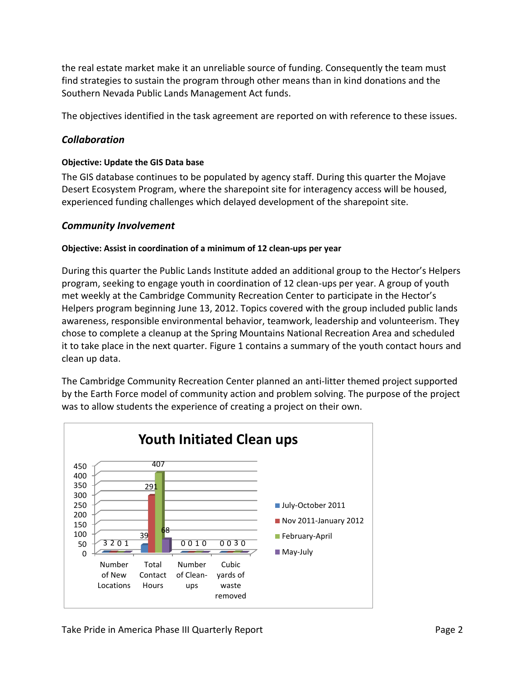the real estate market make it an unreliable source of funding. Consequently the team must find strategies to sustain the program through other means than in kind donations and the Southern Nevada Public Lands Management Act funds.

The objectives identified in the task agreement are reported on with reference to these issues.

#### *Collaboration*

#### **Objective: Update the GIS Data base**

The GIS database continues to be populated by agency staff. During this quarter the Mojave Desert Ecosystem Program, where the sharepoint site for interagency access will be housed, experienced funding challenges which delayed development of the sharepoint site.

#### *Community Involvement*

#### **Objective: Assist in coordination of a minimum of 12 clean-ups per year**

During this quarter the Public Lands Institute added an additional group to the Hector's Helpers program, seeking to engage youth in coordination of 12 clean-ups per year. A group of youth met weekly at the Cambridge Community Recreation Center to participate in the Hector's Helpers program beginning June 13, 2012. Topics covered with the group included public lands awareness, responsible environmental behavior, teamwork, leadership and volunteerism. They chose to complete a cleanup at the Spring Mountains National Recreation Area and scheduled it to take place in the next quarter. Figure 1 contains a summary of the youth contact hours and clean up data.

The Cambridge Community Recreation Center planned an anti-litter themed project supported by the Earth Force model of community action and problem solving. The purpose of the project was to allow students the experience of creating a project on their own.

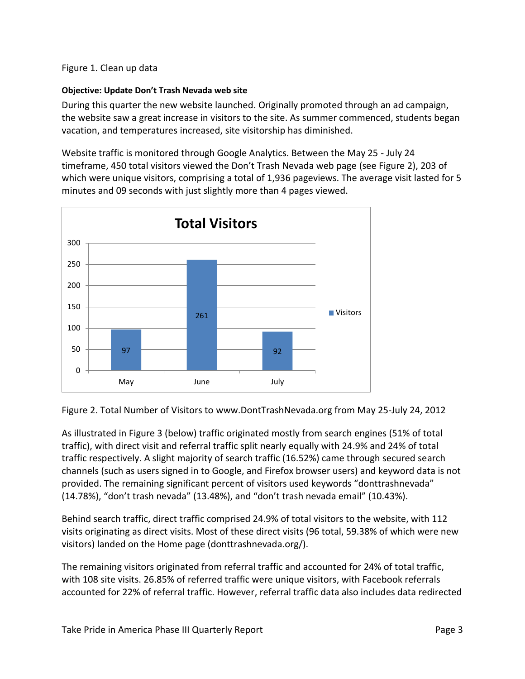#### Figure 1. Clean up data

#### **Objective: Update Don't Trash Nevada web site**

During this quarter the new website launched. Originally promoted through an ad campaign, the website saw a great increase in visitors to the site. As summer commenced, students began vacation, and temperatures increased, site visitorship has diminished.

Website traffic is monitored through Google Analytics. Between the May 25 - July 24 timeframe, 450 total visitors viewed the Don't Trash Nevada web page (see Figure 2), 203 of which were unique visitors, comprising a total of 1,936 pageviews. The average visit lasted for 5 minutes and 09 seconds with just slightly more than 4 pages viewed.



Figure 2. Total Number of Visitors to www.DontTrashNevada.org from May 25-July 24, 2012

As illustrated in Figure 3 (below) traffic originated mostly from search engines (51% of total traffic), with direct visit and referral traffic split nearly equally with 24.9% and 24% of total traffic respectively. A slight majority of search traffic (16.52%) came through secured search channels (such as users signed in to Google, and Firefox browser users) and keyword data is not provided. The remaining significant percent of visitors used keywords "donttrashnevada" (14.78%), "don't trash nevada" (13.48%), and "don't trash nevada email" (10.43%).

Behind search traffic, direct traffic comprised 24.9% of total visitors to the website, with 112 visits originating as direct visits. Most of these direct visits (96 total, 59.38% of which were new visitors) landed on the Home page (donttrashnevada.org/).

The remaining visitors originated from referral traffic and accounted for 24% of total traffic, with 108 site visits. 26.85% of referred traffic were unique visitors, with Facebook referrals accounted for 22% of referral traffic. However, referral traffic data also includes data redirected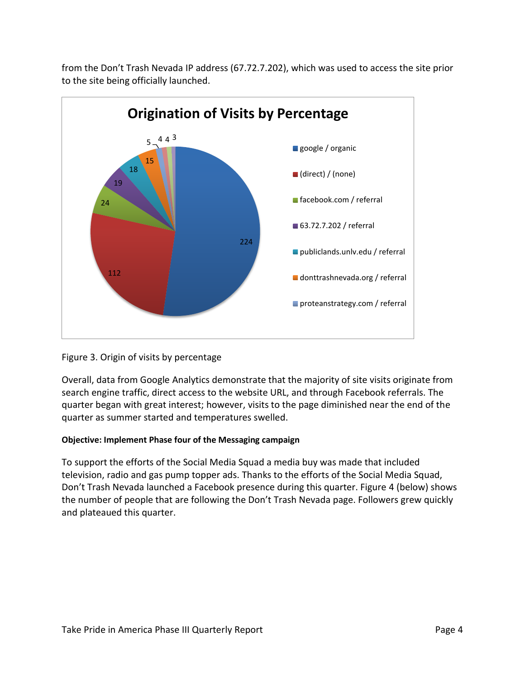

from the Don't Trash Nevada IP address (67.72.7.202), which was used to access the site prior to the site being officially launched.

#### Figure 3. Origin of visits by percentage

Overall, data from Google Analytics demonstrate that the majority of site visits originate from search engine traffic, direct access to the website URL, and through Facebook referrals. The quarter began with great interest; however, visits to the page diminished near the end of the quarter as summer started and temperatures swelled.

#### **Objective: Implement Phase four of the Messaging campaign**

To support the efforts of the Social Media Squad a media buy was made that included television, radio and gas pump topper ads. Thanks to the efforts of the Social Media Squad, Don't Trash Nevada launched a Facebook presence during this quarter. Figure 4 (below) shows the number of people that are following the Don't Trash Nevada page. Followers grew quickly and plateaued this quarter.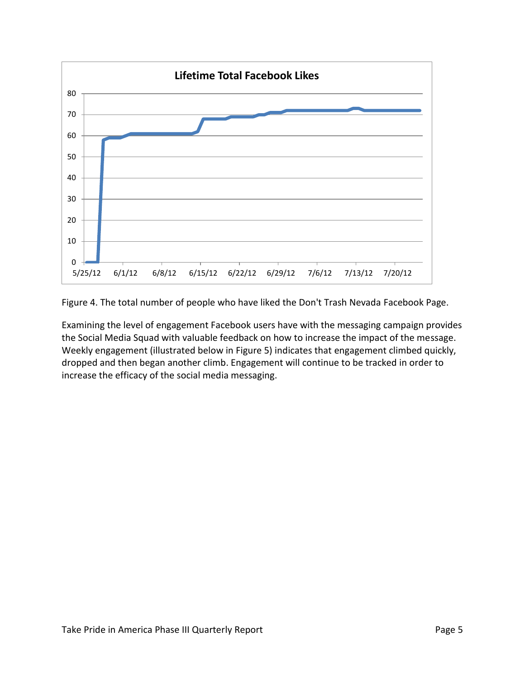

Figure 4. The total number of people who have liked the Don't Trash Nevada Facebook Page.

Examining the level of engagement Facebook users have with the messaging campaign provides the Social Media Squad with valuable feedback on how to increase the impact of the message. Weekly engagement (illustrated below in Figure 5) indicates that engagement climbed quickly, dropped and then began another climb. Engagement will continue to be tracked in order to increase the efficacy of the social media messaging.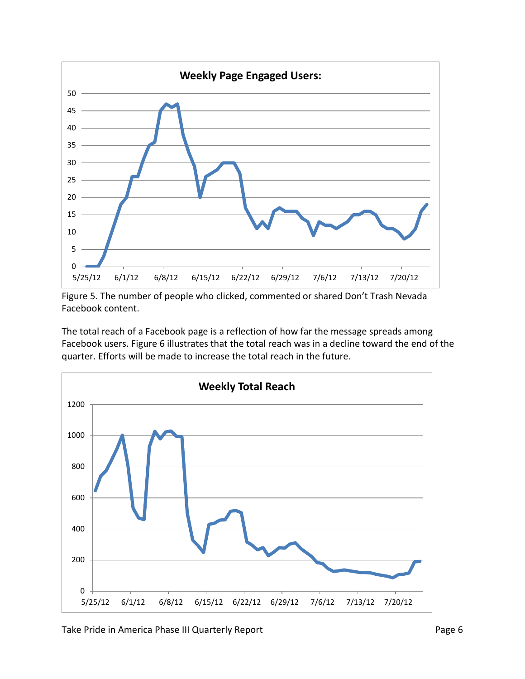

Figure 5. The number of people who clicked, commented or shared Don't Trash Nevada Facebook content.

The total reach of a Facebook page is a reflection of how far the message spreads among Facebook users. Figure 6 illustrates that the total reach was in a decline toward the end of the quarter. Efforts will be made to increase the total reach in the future.

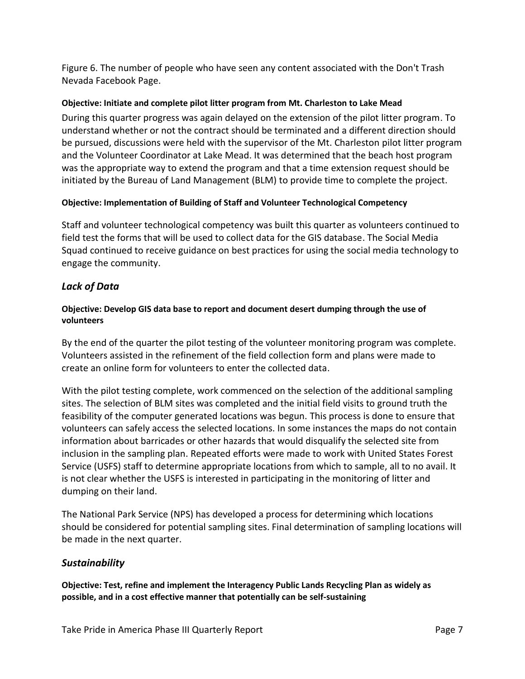Figure 6. The number of people who have seen any content associated with the Don't Trash Nevada Facebook Page.

#### **Objective: Initiate and complete pilot litter program from Mt. Charleston to Lake Mead**

During this quarter progress was again delayed on the extension of the pilot litter program. To understand whether or not the contract should be terminated and a different direction should be pursued, discussions were held with the supervisor of the Mt. Charleston pilot litter program and the Volunteer Coordinator at Lake Mead. It was determined that the beach host program was the appropriate way to extend the program and that a time extension request should be initiated by the Bureau of Land Management (BLM) to provide time to complete the project.

#### **Objective: Implementation of Building of Staff and Volunteer Technological Competency**

Staff and volunteer technological competency was built this quarter as volunteers continued to field test the forms that will be used to collect data for the GIS database. The Social Media Squad continued to receive guidance on best practices for using the social media technology to engage the community.

#### *Lack of Data*

#### **Objective: Develop GIS data base to report and document desert dumping through the use of volunteers**

By the end of the quarter the pilot testing of the volunteer monitoring program was complete. Volunteers assisted in the refinement of the field collection form and plans were made to create an online form for volunteers to enter the collected data.

With the pilot testing complete, work commenced on the selection of the additional sampling sites. The selection of BLM sites was completed and the initial field visits to ground truth the feasibility of the computer generated locations was begun. This process is done to ensure that volunteers can safely access the selected locations. In some instances the maps do not contain information about barricades or other hazards that would disqualify the selected site from inclusion in the sampling plan. Repeated efforts were made to work with United States Forest Service (USFS) staff to determine appropriate locations from which to sample, all to no avail. It is not clear whether the USFS is interested in participating in the monitoring of litter and dumping on their land.

The National Park Service (NPS) has developed a process for determining which locations should be considered for potential sampling sites. Final determination of sampling locations will be made in the next quarter.

#### *Sustainability*

**Objective: Test, refine and implement the Interagency Public Lands Recycling Plan as widely as possible, and in a cost effective manner that potentially can be self-sustaining**